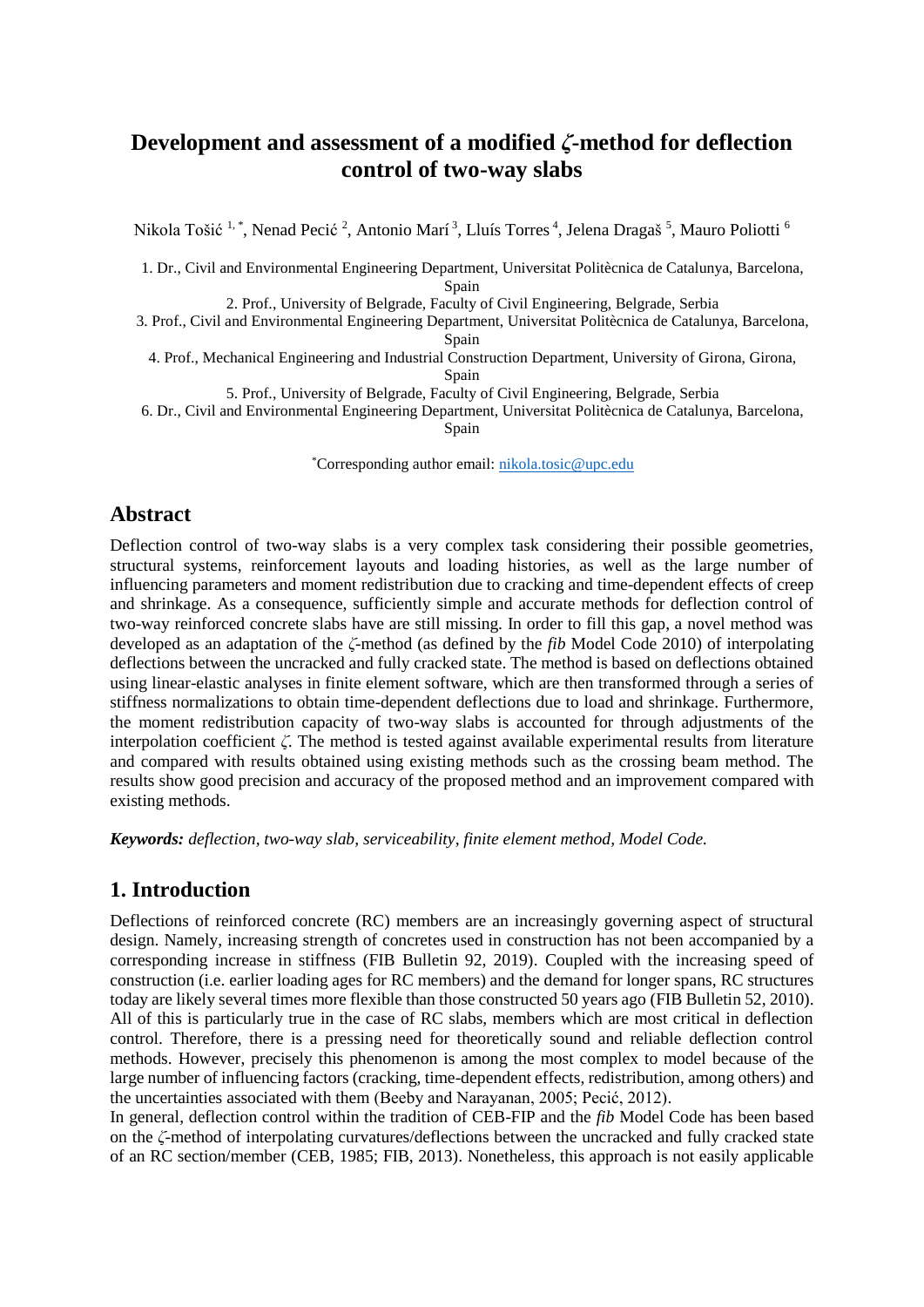# **Development and assessment of a modified** *ζ***-method for deflection control of two-way slabs**

Nikola Tošić <sup>1, \*</sup>, Nenad Pecić <sup>2</sup>, Antonio Marí <sup>3</sup>, Lluís Torres <sup>4</sup>, Jelena Dragaš <sup>5</sup>, Mauro Poliotti <sup>6</sup>

1. Dr., Civil and Environmental Engineering Department, Universitat Politècnica de Catalunya, Barcelona, Spain

2. Prof., University of Belgrade, Faculty of Civil Engineering, Belgrade, Serbia

3. Prof., Civil and Environmental Engineering Department, Universitat Politècnica de Catalunya, Barcelona, Spain

4. Prof., Mechanical Engineering and Industrial Construction Department, University of Girona, Girona, Spain

5. Prof., University of Belgrade, Faculty of Civil Engineering, Belgrade, Serbia

6. Dr., Civil and Environmental Engineering Department, Universitat Politècnica de Catalunya, Barcelona,

Spain

\*Corresponding author email: [nikola.tosic@upc.edu](mailto:nikola.tosic@upc.edu)

# **Abstract**

Deflection control of two-way slabs is a very complex task considering their possible geometries, structural systems, reinforcement layouts and loading histories, as well as the large number of influencing parameters and moment redistribution due to cracking and time-dependent effects of creep and shrinkage. As a consequence, sufficiently simple and accurate methods for deflection control of two-way reinforced concrete slabs have are still missing. In order to fill this gap, a novel method was developed as an adaptation of the *ζ*-method (as defined by the *fib* Model Code 2010) of interpolating deflections between the uncracked and fully cracked state. The method is based on deflections obtained using linear-elastic analyses in finite element software, which are then transformed through a series of stiffness normalizations to obtain time-dependent deflections due to load and shrinkage. Furthermore, the moment redistribution capacity of two-way slabs is accounted for through adjustments of the interpolation coefficient *ζ*. The method is tested against available experimental results from literature and compared with results obtained using existing methods such as the crossing beam method. The results show good precision and accuracy of the proposed method and an improvement compared with existing methods.

*Keywords: deflection, two-way slab, serviceability, finite element method, Model Code.*

## **1. Introduction**

Deflections of reinforced concrete (RC) members are an increasingly governing aspect of structural design. Namely, increasing strength of concretes used in construction has not been accompanied by a corresponding increase in stiffness (FIB Bulletin 92, 2019). Coupled with the increasing speed of construction (i.e. earlier loading ages for RC members) and the demand for longer spans, RC structures today are likely several times more flexible than those constructed 50 years ago (FIB Bulletin 52, 2010). All of this is particularly true in the case of RC slabs, members which are most critical in deflection control. Therefore, there is a pressing need for theoretically sound and reliable deflection control methods. However, precisely this phenomenon is among the most complex to model because of the large number of influencing factors (cracking, time-dependent effects, redistribution, among others) and the uncertainties associated with them (Beeby and Narayanan, 2005; Pecić, 2012).

In general, deflection control within the tradition of CEB-FIP and the *fib* Model Code has been based on the *ζ*-method of interpolating curvatures/deflections between the uncracked and fully cracked state of an RC section/member (CEB, 1985; FIB, 2013). Nonetheless, this approach is not easily applicable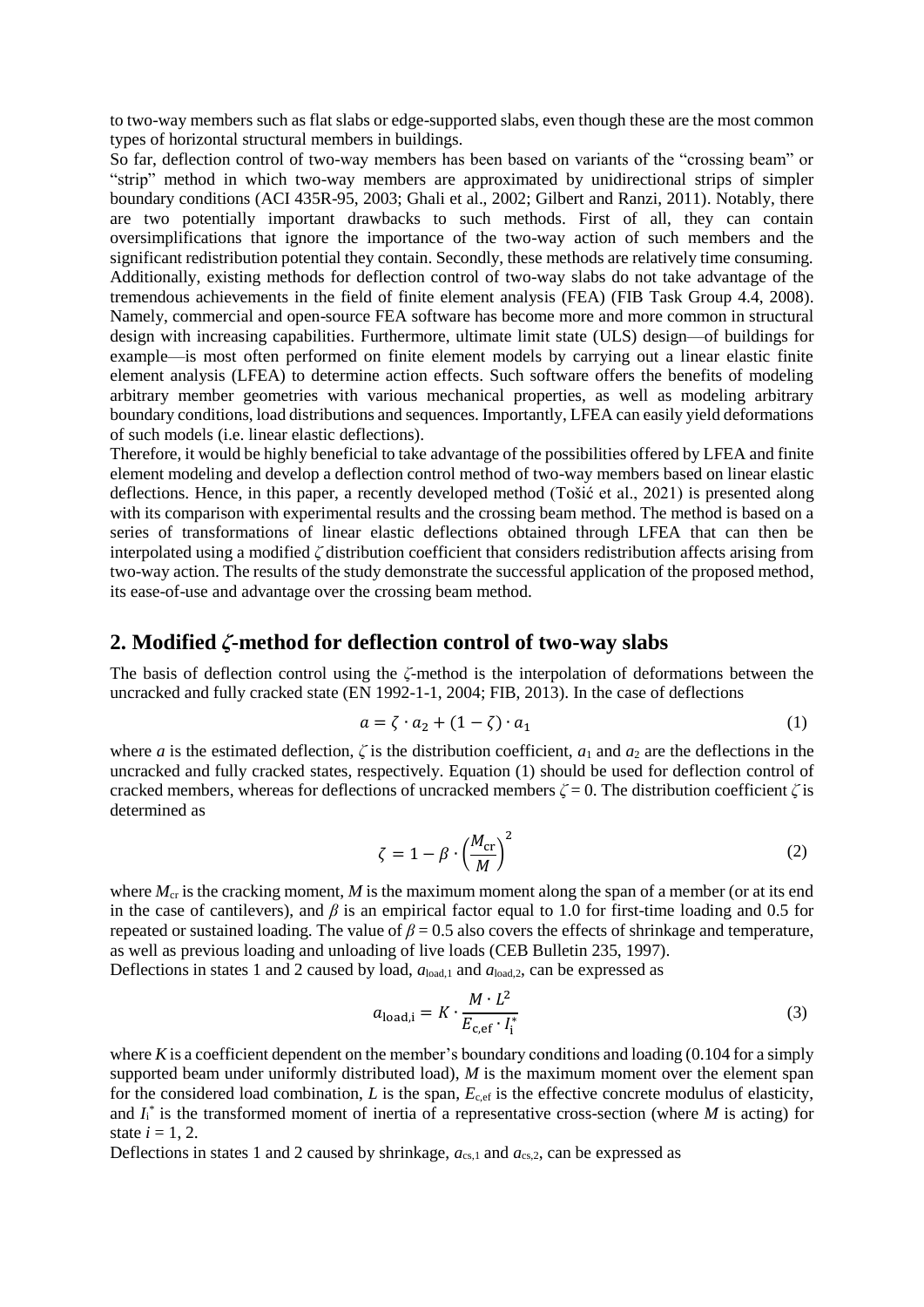to two-way members such as flat slabs or edge-supported slabs, even though these are the most common types of horizontal structural members in buildings.

So far, deflection control of two-way members has been based on variants of the "crossing beam" or "strip" method in which two-way members are approximated by unidirectional strips of simpler boundary conditions (ACI 435R-95, 2003; Ghali et al., 2002; Gilbert and Ranzi, 2011). Notably, there are two potentially important drawbacks to such methods. First of all, they can contain oversimplifications that ignore the importance of the two-way action of such members and the significant redistribution potential they contain. Secondly, these methods are relatively time consuming. Additionally, existing methods for deflection control of two-way slabs do not take advantage of the tremendous achievements in the field of finite element analysis (FEA) (FIB Task Group 4.4, 2008). Namely, commercial and open-source FEA software has become more and more common in structural design with increasing capabilities. Furthermore, ultimate limit state (ULS) design—of buildings for example—is most often performed on finite element models by carrying out a linear elastic finite element analysis (LFEA) to determine action effects. Such software offers the benefits of modeling arbitrary member geometries with various mechanical properties, as well as modeling arbitrary boundary conditions, load distributions and sequences. Importantly, LFEA can easily yield deformations of such models (i.e. linear elastic deflections).

Therefore, it would be highly beneficial to take advantage of the possibilities offered by LFEA and finite element modeling and develop a deflection control method of two-way members based on linear elastic deflections. Hence, in this paper, a recently developed method (Tošić et al., 2021) is presented along with its comparison with experimental results and the crossing beam method. The method is based on a series of transformations of linear elastic deflections obtained through LFEA that can then be interpolated using a modified *ζ* distribution coefficient that considers redistribution affects arising from two-way action. The results of the study demonstrate the successful application of the proposed method, its ease-of-use and advantage over the crossing beam method.

#### **2. Modified** *ζ***-method for deflection control of two-way slabs**

The basis of deflection control using the *ζ*-method is the interpolation of deformations between the uncracked and fully cracked state (EN 1992-1-1, 2004; FIB, 2013). In the case of deflections

$$
a = \zeta \cdot a_2 + (1 - \zeta) \cdot a_1 \tag{1}
$$

where *a* is the estimated deflection,  $\zeta$  is the distribution coefficient,  $a_1$  and  $a_2$  are the deflections in the uncracked and fully cracked states, respectively. Equation (1) should be used for deflection control of cracked members, whereas for deflections of uncracked members  $\zeta = 0$ . The distribution coefficient  $\zeta$  is determined as

$$
\zeta = 1 - \beta \cdot \left(\frac{M_{\rm cr}}{M}\right)^2 \tag{2}
$$

where  $M_{cr}$  is the cracking moment, M is the maximum moment along the span of a member (or at its end in the case of cantilevers), and  $\beta$  is an empirical factor equal to 1.0 for first-time loading and 0.5 for repeated or sustained loading. The value of  $\beta = 0.5$  also covers the effects of shrinkage and temperature, as well as previous loading and unloading of live loads (CEB Bulletin 235, 1997).

Deflections in states 1 and 2 caused by load, *a*load,1 and *a*load,2, can be expressed as

$$
a_{\text{load},i} = K \cdot \frac{M \cdot L^2}{E_{\text{c,ef}} \cdot I_i^*}
$$
 (3)

where *K* is a coefficient dependent on the member's boundary conditions and loading  $(0.104$  for a simply supported beam under uniformly distributed load), *M* is the maximum moment over the element span for the considered load combination, *L* is the span,  $E_{c,ef}$  is the effective concrete modulus of elasticity, and  $I_i^*$  is the transformed moment of inertia of a representative cross-section (where  $M$  is acting) for state  $i = 1, 2$ .

Deflections in states 1 and 2 caused by shrinkage,  $a_{cs,1}$  and  $a_{cs,2}$ , can be expressed as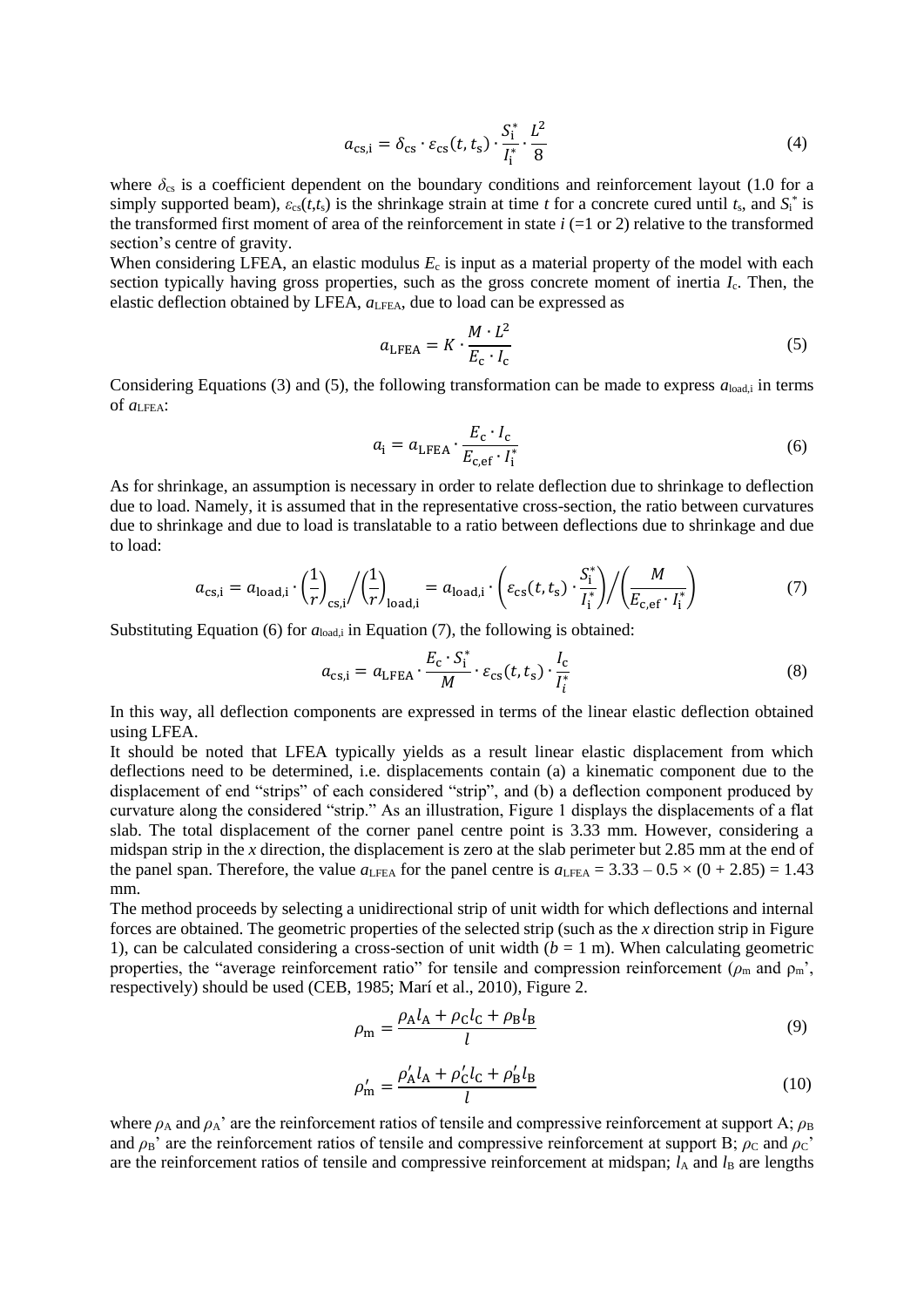$$
a_{\text{cs},i} = \delta_{\text{cs}} \cdot \varepsilon_{\text{cs}}(t, t_{\text{s}}) \cdot \frac{S_i^*}{I_i^*} \cdot \frac{L^2}{8}
$$
 (4)

where  $\delta_{cs}$  is a coefficient dependent on the boundary conditions and reinforcement layout (1.0 for a simply supported beam),  $\varepsilon_{cs}(t,t_s)$  is the shrinkage strain at time *t* for a concrete cured until  $t_s$ , and  $S_i^*$  is the transformed first moment of area of the reinforcement in state  $i$  (=1 or 2) relative to the transformed section's centre of gravity.

When considering LFEA, an elastic modulus  $E_c$  is input as a material property of the model with each section typically having gross properties, such as the gross concrete moment of inertia *I*c. Then, the elastic deflection obtained by LFEA,  $a_{\text{LFEA}}$ , due to load can be expressed as

$$
a_{\text{LFEA}} = K \cdot \frac{M \cdot L^2}{E_{\text{c}} \cdot I_{\text{c}}}
$$
 (5)

Considering Equations (3) and (5), the following transformation can be made to express  $a_{\text{load},i}$  in terms of *a*LFEA:

$$
a_{\rm i} = a_{\rm LFEA} \cdot \frac{E_{\rm c} \cdot l_{\rm c}}{E_{\rm c,ef} \cdot l_{\rm i}^*}
$$
 (6)

As for shrinkage, an assumption is necessary in order to relate deflection due to shrinkage to deflection due to load. Namely, it is assumed that in the representative cross-section, the ratio between curvatures due to shrinkage and due to load is translatable to a ratio between deflections due to shrinkage and due to load:

$$
a_{\text{cs,i}} = a_{\text{load,i}} \cdot \left(\frac{1}{r}\right)_{\text{cs,i}} / \left(\frac{1}{r}\right)_{\text{load,i}} = a_{\text{load,i}} \cdot \left(\varepsilon_{\text{cs}}(t, t_{\text{s}}) \cdot \frac{S_i^*}{I_i^*}\right) / \left(\frac{M}{E_{\text{c,ef}} \cdot I_i^*}\right) \tag{7}
$$

Substituting Equation (6) for  $a_{load,i}$  in Equation (7), the following is obtained:

$$
a_{cs,i} = a_{\text{LFEA}} \cdot \frac{E_c \cdot S_i^*}{M} \cdot \varepsilon_{cs}(t, t_s) \cdot \frac{I_c}{I_i^*}
$$
 (8)

In this way, all deflection components are expressed in terms of the linear elastic deflection obtained using LFEA.

It should be noted that LFEA typically yields as a result linear elastic displacement from which deflections need to be determined, i.e. displacements contain (a) a kinematic component due to the displacement of end "strips" of each considered "strip", and (b) a deflection component produced by curvature along the considered "strip." As an illustration, Figure 1 displays the displacements of a flat slab. The total displacement of the corner panel centre point is 3.33 mm. However, considering a midspan strip in the *x* direction, the displacement is zero at the slab perimeter but 2.85 mm at the end of the panel span. Therefore, the value  $a_{\text{LFEA}}$  for the panel centre is  $a_{\text{LFEA}} = 3.33 - 0.5 \times (0 + 2.85) = 1.43$ mm.

The method proceeds by selecting a unidirectional strip of unit width for which deflections and internal forces are obtained. The geometric properties of the selected strip (such as the *x* direction strip in Figure 1), can be calculated considering a cross-section of unit width  $(b = 1 \text{ m})$ . When calculating geometric properties, the "average reinforcement ratio" for tensile and compression reinforcement ( $\rho_m$  and  $\rho_m$ ', respectively) should be used (CEB, 1985; Marí et al., 2010), Figure 2.

$$
\rho_{\rm m} = \frac{\rho_{\rm A} l_{\rm A} + \rho_{\rm C} l_{\rm C} + \rho_{\rm B} l_{\rm B}}{l} \tag{9}
$$

$$
\rho'_{\rm m} = \frac{\rho'_{\rm A} l_{\rm A} + \rho'_{\rm C} l_{\rm C} + \rho'_{\rm B} l_{\rm B}}{l} \tag{10}
$$

where  $\rho_A$  and  $\rho_A$ ' are the reinforcement ratios of tensile and compressive reinforcement at support A;  $\rho_B$ and  $\rho_B$ ' are the reinforcement ratios of tensile and compressive reinforcement at support B;  $\rho_C$  and  $\rho_C$ ' are the reinforcement ratios of tensile and compressive reinforcement at midspan; *l*<sub>A</sub> and *l*<sub>B</sub> are lengths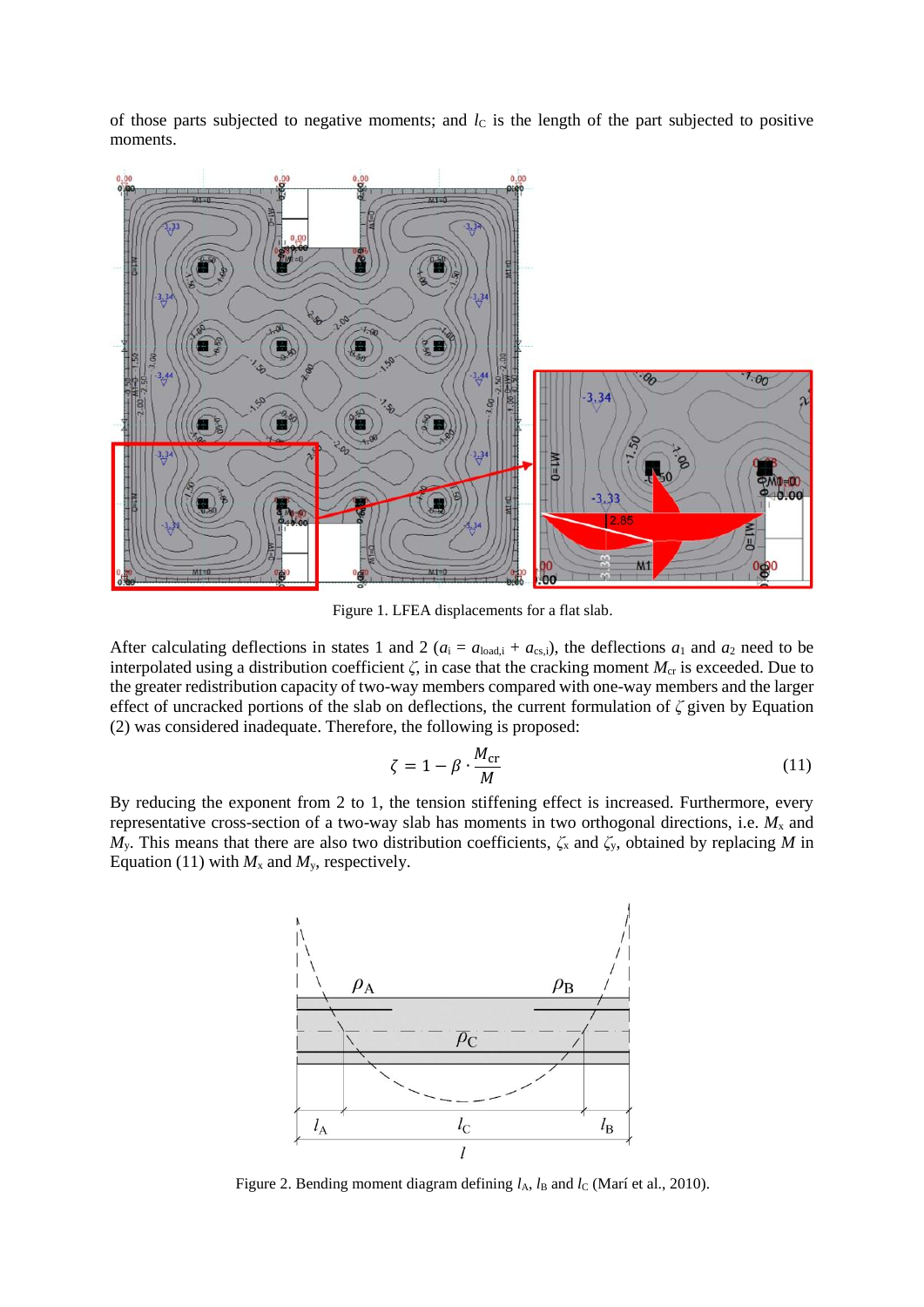of those parts subjected to negative moments; and  $l<sub>C</sub>$  is the length of the part subjected to positive moments.



Figure 1. LFEA displacements for a flat slab.

After calculating deflections in states 1 and 2 ( $a_i = a_{\text{load},i} + a_{\text{cs},i}$ ), the deflections  $a_1$  and  $a_2$  need to be interpolated using a distribution coefficient  $\zeta$ , in case that the cracking moment  $M_{cr}$  is exceeded. Due to the greater redistribution capacity of two-way members compared with one-way members and the larger effect of uncracked portions of the slab on deflections, the current formulation of *ζ* given by Equation (2) was considered inadequate. Therefore, the following is proposed:

$$
\zeta = 1 - \beta \cdot \frac{M_{\rm cr}}{M} \tag{11}
$$

By reducing the exponent from 2 to 1, the tension stiffening effect is increased. Furthermore, every representative cross-section of a two-way slab has moments in two orthogonal directions, i.e.  $M_x$  and *M*y. This means that there are also two distribution coefficients, *ζ*<sup>x</sup> and *ζ*y, obtained by replacing *M* in Equation (11) with  $M_x$  and  $M_y$ , respectively.



Figure 2. Bending moment diagram defining  $l_A$ ,  $l_B$  and  $l_C$  (Marí et al., 2010).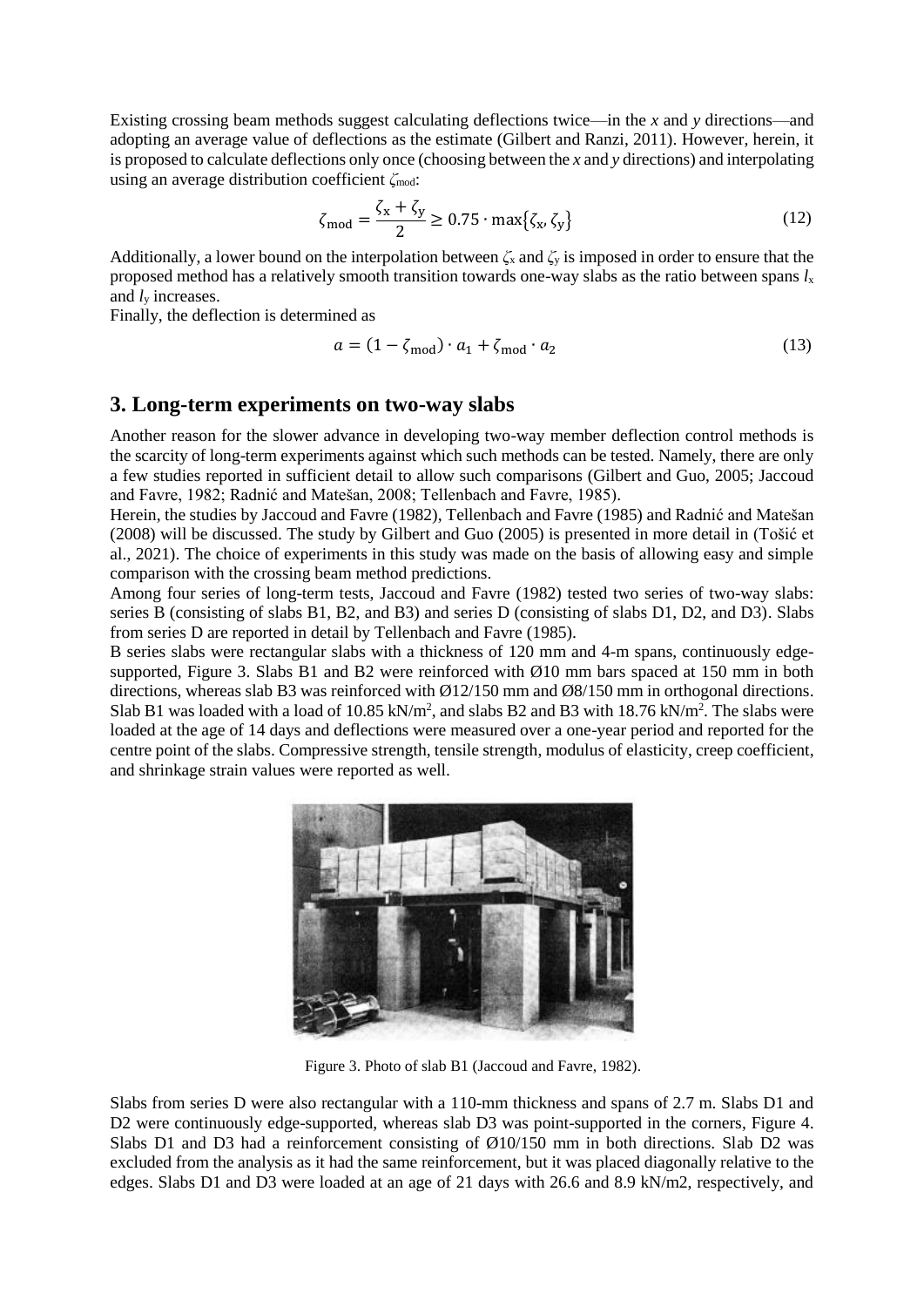Existing crossing beam methods suggest calculating deflections twice—in the *x* and *y* directions—and adopting an average value of deflections as the estimate (Gilbert and Ranzi, 2011). However, herein, it is proposed to calculate deflections only once (choosing between the *x* and *y* directions) and interpolating using an average distribution coefficient *ζ*mod:

$$
\zeta_{\text{mod}} = \frac{\zeta_{\text{x}} + \zeta_{\text{y}}}{2} \ge 0.75 \cdot \max\{\zeta_{\text{x}}, \zeta_{\text{y}}\}\tag{12}
$$

Additionally, a lower bound on the interpolation between *ζ*<sup>x</sup> and *ζ*<sup>y</sup> is imposed in order to ensure that the proposed method has a relatively smooth transition towards one-way slabs as the ratio between spans  $l_x$ and *l*<sup>y</sup> increases.

Finally, the deflection is determined as

$$
a = (1 - \zeta_{\text{mod}}) \cdot a_1 + \zeta_{\text{mod}} \cdot a_2 \tag{13}
$$

#### **3. Long-term experiments on two-way slabs**

Another reason for the slower advance in developing two-way member deflection control methods is the scarcity of long-term experiments against which such methods can be tested. Namely, there are only a few studies reported in sufficient detail to allow such comparisons (Gilbert and Guo, 2005; Jaccoud and Favre, 1982; Radnić and Matešan, 2008; Tellenbach and Favre, 1985).

Herein, the studies by Jaccoud and Favre (1982), Tellenbach and Favre (1985) and Radnić and Matešan (2008) will be discussed. The study by Gilbert and Guo (2005) is presented in more detail in (Tošić et al., 2021). The choice of experiments in this study was made on the basis of allowing easy and simple comparison with the crossing beam method predictions.

Among four series of long-term tests, Jaccoud and Favre (1982) tested two series of two-way slabs: series B (consisting of slabs B1, B2, and B3) and series D (consisting of slabs D1, D2, and D3). Slabs from series D are reported in detail by Tellenbach and Favre (1985).

B series slabs were rectangular slabs with a thickness of 120 mm and 4-m spans, continuously edgesupported, Figure 3. Slabs B1 and B2 were reinforced with  $\varnothing$ 10 mm bars spaced at 150 mm in both directions, whereas slab B3 was reinforced with  $\emptyset$ 12/150 mm and Ø8/150 mm in orthogonal directions. Slab B1 was loaded with a load of 10.85 kN/ $m^2$ , and slabs B2 and B3 with 18.76 kN/ $m^2$ . The slabs were loaded at the age of 14 days and deflections were measured over a one-year period and reported for the centre point of the slabs. Compressive strength, tensile strength, modulus of elasticity, creep coefficient, and shrinkage strain values were reported as well.



Figure 3. Photo of slab B1 (Jaccoud and Favre, 1982).

Slabs from series D were also rectangular with a 110-mm thickness and spans of 2.7 m. Slabs D1 and D2 were continuously edge-supported, whereas slab D3 was point-supported in the corners, Figure 4. Slabs D1 and D3 had a reinforcement consisting of Ø10/150 mm in both directions. Slab D2 was excluded from the analysis as it had the same reinforcement, but it was placed diagonally relative to the edges. Slabs D1 and D3 were loaded at an age of 21 days with 26.6 and 8.9 kN/m2, respectively, and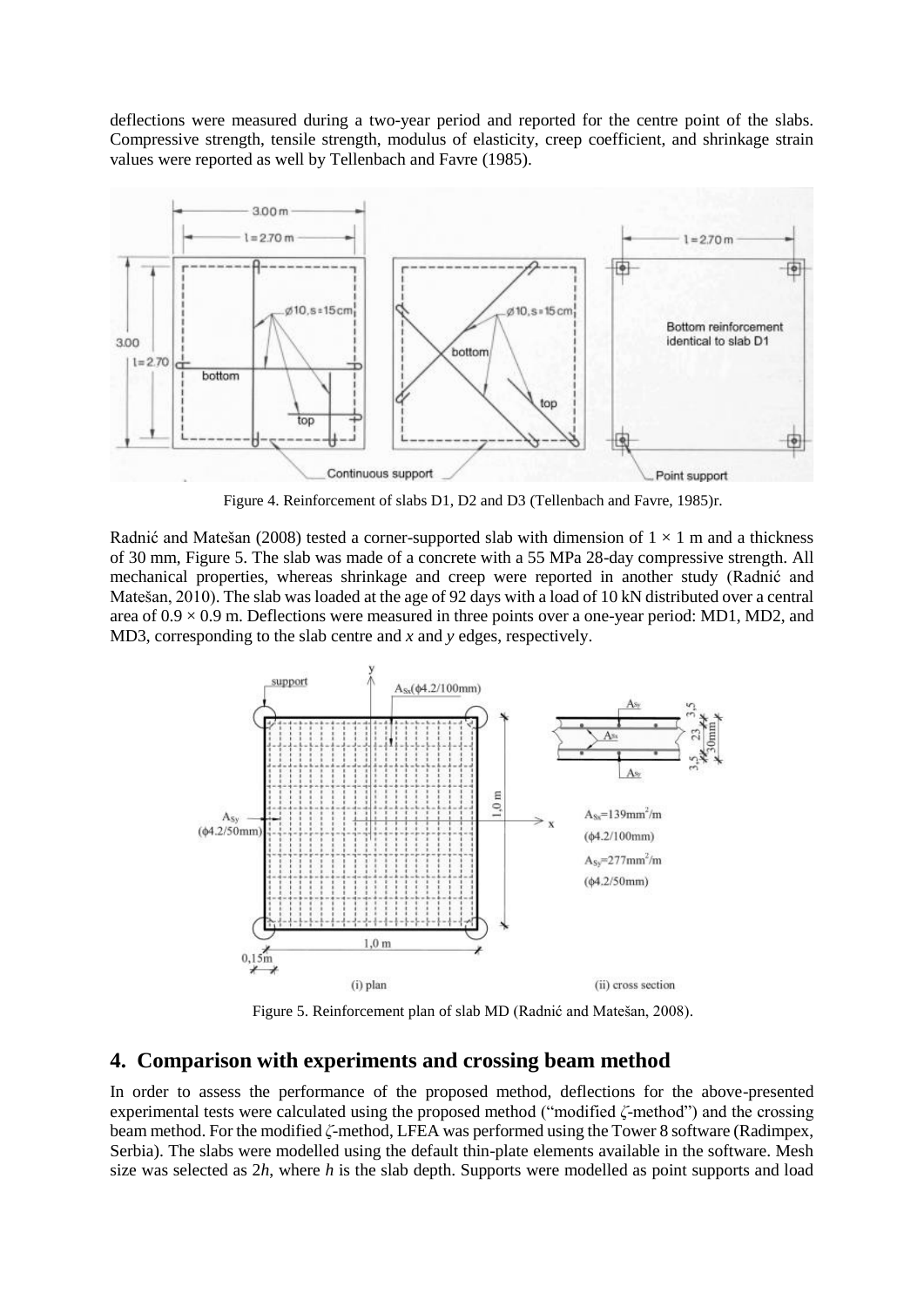deflections were measured during a two-year period and reported for the centre point of the slabs. Compressive strength, tensile strength, modulus of elasticity, creep coefficient, and shrinkage strain values were reported as well by Tellenbach and Favre (1985).



Figure 4. Reinforcement of slabs D1, D2 and D3 (Tellenbach and Favre, 1985)r.

Radnić and Matešan (2008) tested a corner-supported slab with dimension of  $1 \times 1$  m and a thickness of 30 mm, Figure 5. The slab was made of a concrete with a 55 MPa 28-day compressive strength. All mechanical properties, whereas shrinkage and creep were reported in another study (Radnić and Matešan, 2010). The slab was loaded at the age of 92 days with a load of 10 kN distributed over a central area of  $0.9 \times 0.9$  m. Deflections were measured in three points over a one-year period: MD1, MD2, and MD3, corresponding to the slab centre and *x* and *y* edges, respectively.



Figure 5. Reinforcement plan of slab MD (Radnić and Matešan, 2008).

## **4. Comparison with experiments and crossing beam method**

In order to assess the performance of the proposed method, deflections for the above-presented experimental tests were calculated using the proposed method ("modified *ζ*-method") and the crossing beam method. For the modified *ζ*-method, LFEA was performed using the Tower 8 software (Radimpex, Serbia). The slabs were modelled using the default thin-plate elements available in the software. Mesh size was selected as 2*h*, where *h* is the slab depth. Supports were modelled as point supports and load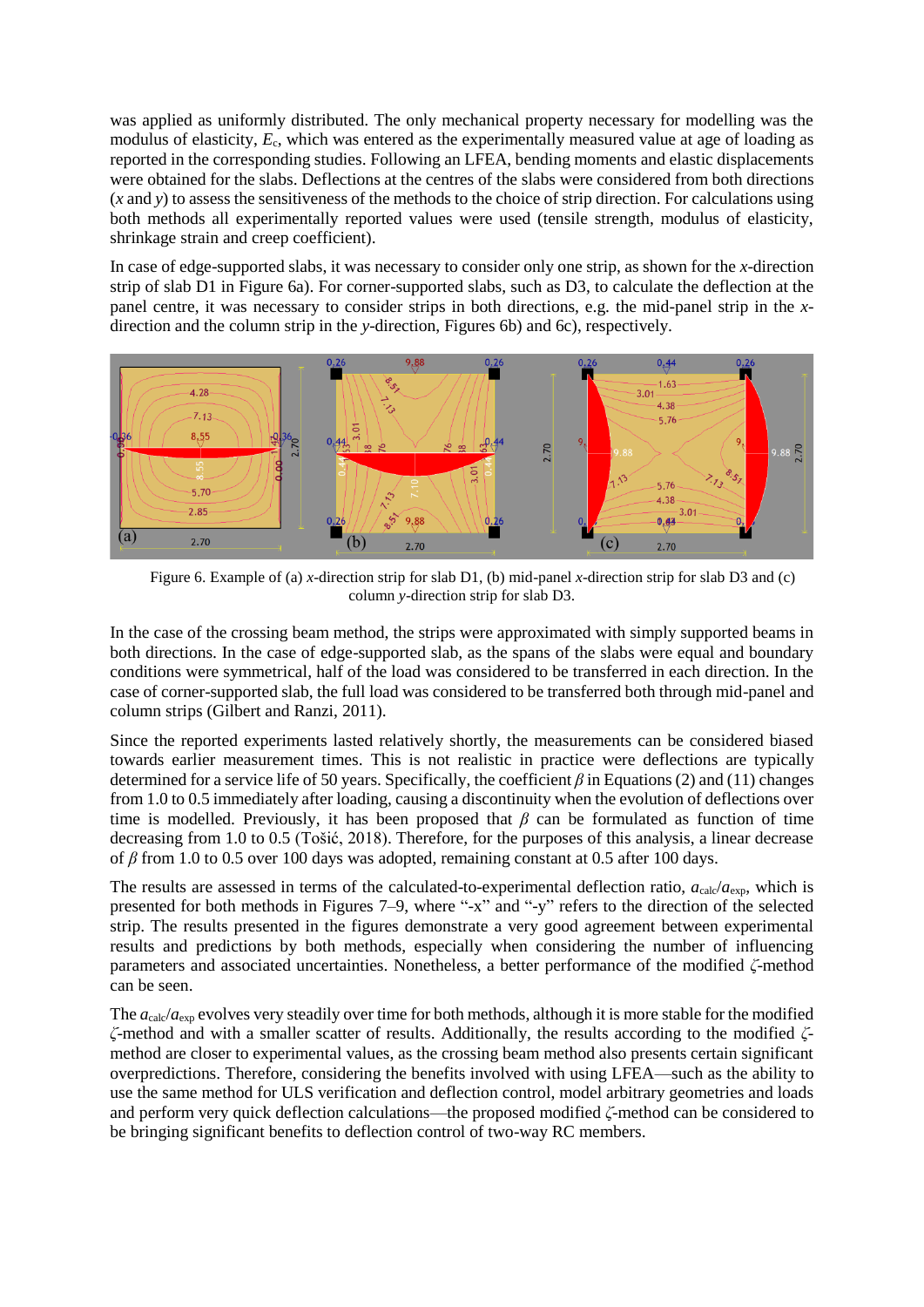was applied as uniformly distributed. The only mechanical property necessary for modelling was the modulus of elasticity, *E*c, which was entered as the experimentally measured value at age of loading as reported in the corresponding studies. Following an LFEA, bending moments and elastic displacements were obtained for the slabs. Deflections at the centres of the slabs were considered from both directions (*x* and *y*) to assess the sensitiveness of the methods to the choice of strip direction. For calculations using both methods all experimentally reported values were used (tensile strength, modulus of elasticity, shrinkage strain and creep coefficient).

In case of edge-supported slabs, it was necessary to consider only one strip, as shown for the *x*-direction strip of slab D1 in Figure 6a). For corner-supported slabs, such as D3, to calculate the deflection at the panel centre, it was necessary to consider strips in both directions, e.g. the mid-panel strip in the *x*direction and the column strip in the *y*-direction, Figures 6b) and 6c), respectively.



Figure 6. Example of (a) *x*-direction strip for slab D1, (b) mid-panel *x*-direction strip for slab D3 and (c) column *y*-direction strip for slab D3.

In the case of the crossing beam method, the strips were approximated with simply supported beams in both directions. In the case of edge-supported slab, as the spans of the slabs were equal and boundary conditions were symmetrical, half of the load was considered to be transferred in each direction. In the case of corner-supported slab, the full load was considered to be transferred both through mid-panel and column strips (Gilbert and Ranzi, 2011).

Since the reported experiments lasted relatively shortly, the measurements can be considered biased towards earlier measurement times. This is not realistic in practice were deflections are typically determined for a service life of 50 years. Specifically, the coefficient *β* in Equations (2) and (11) changes from 1.0 to 0.5 immediately after loading, causing a discontinuity when the evolution of deflections over time is modelled. Previously, it has been proposed that  $\beta$  can be formulated as function of time decreasing from 1.0 to 0.5 (Tošić, 2018). Therefore, for the purposes of this analysis, a linear decrease of *β* from 1.0 to 0.5 over 100 days was adopted, remaining constant at 0.5 after 100 days.

The results are assessed in terms of the calculated-to-experimental deflection ratio,  $a_{\rm calc}/a_{\rm exp}$ , which is presented for both methods in Figures 7–9, where "-x" and "-y" refers to the direction of the selected strip. The results presented in the figures demonstrate a very good agreement between experimental results and predictions by both methods, especially when considering the number of influencing parameters and associated uncertainties. Nonetheless, a better performance of the modified *ζ*-method can be seen.

The  $a_{\rm calc}/a_{\rm exp}$  evolves very steadily over time for both methods, although it is more stable for the modified *ζ*-method and with a smaller scatter of results. Additionally, the results according to the modified *ζ*method are closer to experimental values, as the crossing beam method also presents certain significant overpredictions. Therefore, considering the benefits involved with using LFEA—such as the ability to use the same method for ULS verification and deflection control, model arbitrary geometries and loads and perform very quick deflection calculations—the proposed modified *ζ*-method can be considered to be bringing significant benefits to deflection control of two-way RC members.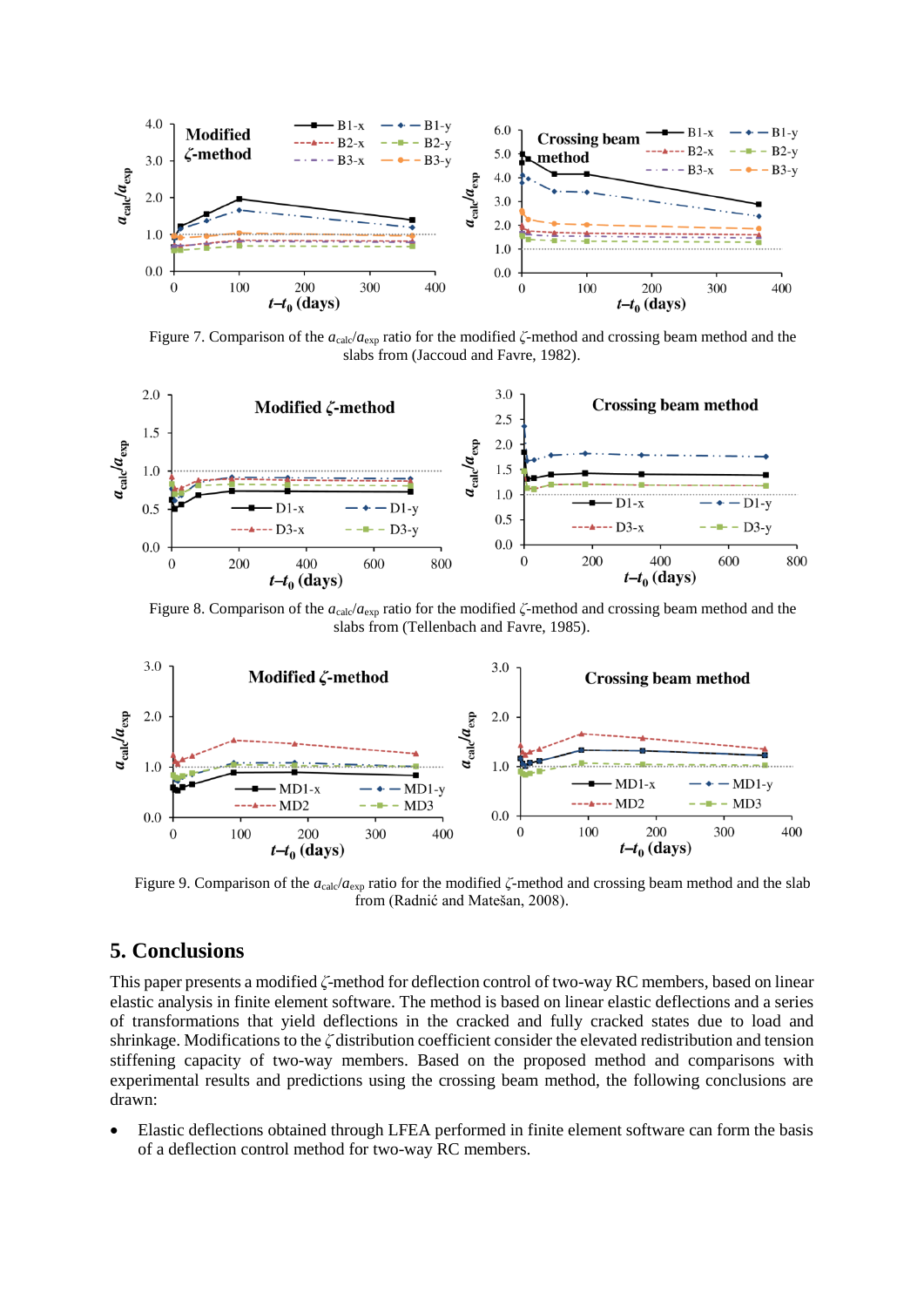

Figure 7. Comparison of the *a*<sub>calc</sub>/*a*<sub>exp</sub> ratio for the modified *ζ*-method and crossing beam method and the slabs from (Jaccoud and Favre, 1982).



Figure 8. Comparison of the *a*<sub>calc</sub>/*a*<sub>exp</sub> ratio for the modified *ζ*-method and crossing beam method and the slabs from (Tellenbach and Favre, 1985).



Figure 9. Comparison of the  $a_{\text{calc}}/a_{\text{exp}}$  ratio for the modified  $\zeta$ -method and crossing beam method and the slab from (Radnić and Matešan, 2008).

# **5. Conclusions**

This paper presents a modified *ζ*-method for deflection control of two-way RC members, based on linear elastic analysis in finite element software. The method is based on linear elastic deflections and a series of transformations that yield deflections in the cracked and fully cracked states due to load and shrinkage. Modifications to the *ζ* distribution coefficient consider the elevated redistribution and tension stiffening capacity of two-way members. Based on the proposed method and comparisons with experimental results and predictions using the crossing beam method, the following conclusions are drawn:

• Elastic deflections obtained through LFEA performed in finite element software can form the basis of a deflection control method for two-way RC members.